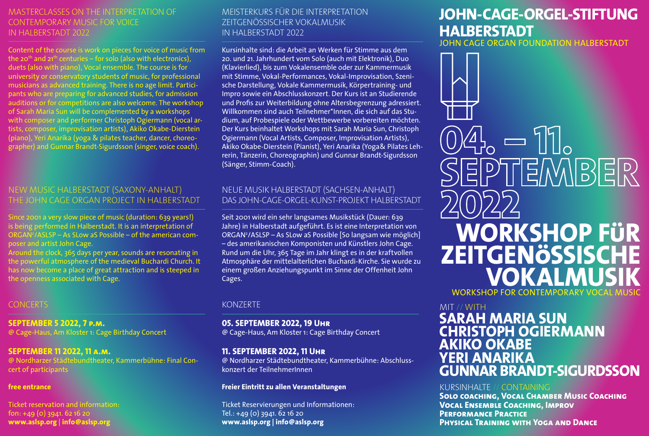# MASTERCLASSES ON THE INTERPRETATION OF CONTEMPORARY MUSIC FOR VOICE IN HALBERSTADT 2022

Content of the course is work on pieces for voice of music from the 20<sup>th</sup> and 21<sup>th</sup> centuries – for solo (also with electronics), duets (also with piano), Vocal ensemble. The course is for university or conservatory students of music, for professional musicians as advanced training. There is no age limit. Participants who are preparing for advanced studies, for admission auditions or for competitions are also welcome. The workshop of Sarah Maria Sun will be complemented by a workshops with composer and performer Christoph Ogiermann (vocal artists, composer, improvisation artists), Akiko Okabe-Dierstein (piano), Yeri Anarika (yoga & pilates teacher, dancer, choreographer) and Gunnar Brandt-Sigurdsson (singer, voice coach).

# NEW MUSIC HALBERSTADT (SAXONY-ANHALT) THE JOHN CAGE ORGAN PROJECT IN HALBERSTADT

Since 2001 a very slow piece of music (duration: 639 years!) is being performed in Halberstadt. It is an interpretation of ORGAN2 /ASLSP – As SLow aS Possible – of the american composer and artist John Cage.

Around the clock, 365 days per year, sounds are resonating in the powerful atmosphere of the medieval Buchardi Church. It has now become a place of great attraction and is steeped in the openness associated with Cage.

## CONCERTS

**SEPTEMBER 5 2022, 7 p.m.** @ Cage-Haus, Am Kloster 1: Cage Birthday Concert

### **SEPTEMBER 11 2022, 11 a.m.**

@ Nordharzer Städtebundtheater, Kammerbühne: Final Concert of participants

### **free entrance**

Ticket reservation and information:  $f_{0} = +49(0)$  3941, 62 16 20 **www.aslsp.org** | **info@aslsp.org**

# MEISTERKURS FÜR DIE INTERPRETATION ZEITGENÖSSISCHER VOKALMUSIK IN HALBERSTADT 2022

Kursinhalte sind: die Arbeit an Werken für Stimme aus dem 20. und 21. Jahrhundert vom Solo (auch mit Elektronik), Duo (Klavierlied), bis zum Vokalensemble oder zur Kammermusik mit Stimme, Vokal-Performances, Vokal-Improvisation, Szenische Darstellung, Vokale Kammermusik, Körpertraining- und Impro sowie ein Abschlusskonzert. Der Kurs ist an Studierende und Profis zur Weiterbildung ohne Altersbegrenzung adressiert. Willkommen sind auch Teilnehmer\*Innen, die sich auf das Studium, auf Probespiele oder Wettbewerbe vorbereiten möchten. Der Kurs beinhaltet Workshops mit Sarah Maria Sun, Christoph Ogiermann (Vocal Artists, Composer, Improvisation Artists), Akiko Okabe-Dierstein (Pianist), Yeri Anarika (Yoga& Pilates Lehrerin, Tänzerin, Choreographin) und Gunnar Brandt-Sigurdsson (Sänger, Stimm-Coach).

# NEUE MUSIK HALBERSTADT (SACHSEN-ANHALT) DAS JOHN-CAGE-ORGEL-KUNST-PROJEKT HALBERSTADT

Seit 2001 wird ein sehr langsames Musikstück (Dauer: 639 Jahre) in Halberstadt aufgeführt. Es ist eine Interpretation von ORGAN2 /ASLSP – As SLow aS Possible [So langsam wie möglich] – des amerikanischen Komponisten und Künstlers John Cage. Rund um die Uhr, 365 Tage im Jahr klingt es in der kraftvollen Atmosphäre der mittelalterlichen Buchardi-Kirche. Sie wurde zu einem großen Anziehungspunkt im Sinne der Offenheit John Cages.

### KONZERTE

**05. SEPTEMBER 2022, 19 Uhr** @ Cage-Haus, Am Kloster 1: Cage Birthday Concert

### **11. SEPTEMBER 2022, 11 Uhr**

@ Nordharzer Städtebundtheater, Kammerbühne: Abschlusskonzert der TeilnehmerInnen

### **Freier Eintritt zu allen Veranstaltungen**

Ticket Reservierungen und Informationen: Tel.: +49 (0) 3941. 62 16 20 **www.aslsp.org | info@aslsp.org**

# **JOHN-CAGE-ORGEL-STIFTUNG HALBERSTADT**

JOHN CAGE ORGAN FOUNDATION HALBERSTADT

 $\mathbb{A}_{\circ}=\mathbb{1}_{\circ}$ **EPTEMBER WORKSHOP FüR ZEITGENöSSISCHE VOKALMUSIK** WORKSHOP FOR CONTEMPORARY VOCAL I

### MIT // WITH

# **SARAH MARIA SUN CHRISTOPH OGIERMANN AKIKO OKABE YERI ANARIKA GUNNAR BRANDT-SIGURDSSON**

## KURSINHALTE // CONTAINING

**Solo coaching, Vocal Chamber Music Coaching Vocal Ensemble Coaching, Improv Performance Practice Physical Training with Yoga and Dance**